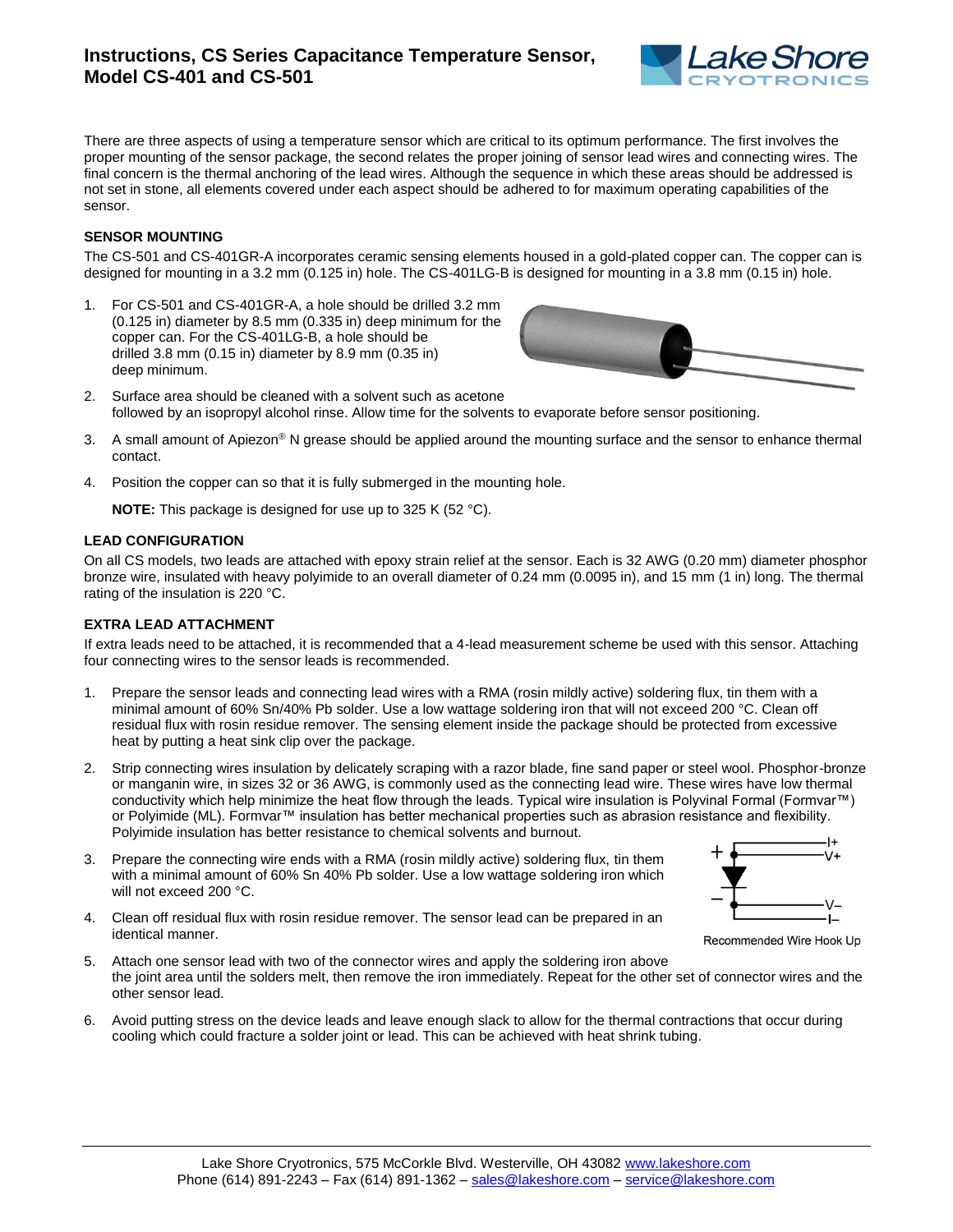# **Instructions, CS Series Capacitance Temperature Sensor, Model CS-401 and CS-501**



There are three aspects of using a temperature sensor which are critical to its optimum performance. The first involves the proper mounting of the sensor package, the second relates the proper joining of sensor lead wires and connecting wires. The final concern is the thermal anchoring of the lead wires. Although the sequence in which these areas should be addressed is not set in stone, all elements covered under each aspect should be adhered to for maximum operating capabilities of the sensor.

## **SENSOR MOUNTING**

The CS-501 and CS-401GR-A incorporates ceramic sensing elements housed in a gold-plated copper can. The copper can is designed for mounting in a 3.2 mm (0.125 in) hole. The CS-401LG-B is designed for mounting in a 3.8 mm (0.15 in) hole.

1. For CS-501 and CS-401GR-A, a hole should be drilled 3.2 mm (0.125 in) diameter by 8.5 mm (0.335 in) deep minimum for the copper can. For the CS-401LG-B, a hole should be drilled 3.8 mm (0.15 in) diameter by 8.9 mm (0.35 in) deep minimum.



- 2. Surface area should be cleaned with a solvent such as acetone followed by an isopropyl alcohol rinse. Allow time for the solvents to evaporate before sensor positioning.
- 3. A small amount of Apiezon® N grease should be applied around the mounting surface and the sensor to enhance thermal contact.
- 4. Position the copper can so that it is fully submerged in the mounting hole.

**NOTE:** This package is designed for use up to 325 K (52 °C).

### **LEAD CONFIGURATION**

On all CS models, two leads are attached with epoxy strain relief at the sensor. Each is 32 AWG (0.20 mm) diameter phosphor bronze wire, insulated with heavy polyimide to an overall diameter of 0.24 mm (0.0095 in), and 15 mm (1 in) long. The thermal rating of the insulation is 220 °C.

### **EXTRA LEAD ATTACHMENT**

If extra leads need to be attached, it is recommended that a 4-lead measurement scheme be used with this sensor. Attaching four connecting wires to the sensor leads is recommended.

- 1. Prepare the sensor leads and connecting lead wires with a RMA (rosin mildly active) soldering flux, tin them with a minimal amount of 60% Sn/40% Pb solder. Use a low wattage soldering iron that will not exceed 200 °C. Clean off residual flux with rosin residue remover. The sensing element inside the package should be protected from excessive heat by putting a heat sink clip over the package.
- 2. Strip connecting wires insulation by delicately scraping with a razor blade, fine sand paper or steel wool. Phosphor-bronze or manganin wire, in sizes 32 or 36 AWG, is commonly used as the connecting lead wire. These wires have low thermal conductivity which help minimize the heat flow through the leads. Typical wire insulation is Polyvinal Formal (Formvar™) or Polyimide (ML). Formvar™ insulation has better mechanical properties such as abrasion resistance and flexibility. Polyimide insulation has better resistance to chemical solvents and burnout.
- 3. Prepare the connecting wire ends with a RMA (rosin mildly active) soldering flux, tin them with a minimal amount of 60% Sn 40% Pb solder. Use a low wattage soldering iron which will not exceed 200 °C.
- 4. Clean off residual flux with rosin residue remover. The sensor lead can be prepared in an identical manner.



Recommended Wire Hook Up

- 5. Attach one sensor lead with two of the connector wires and apply the soldering iron above the joint area until the solders melt, then remove the iron immediately. Repeat for the other set of connector wires and the other sensor lead.
- 6. Avoid putting stress on the device leads and leave enough slack to allow for the thermal contractions that occur during cooling which could fracture a solder joint or lead. This can be achieved with heat shrink tubing.